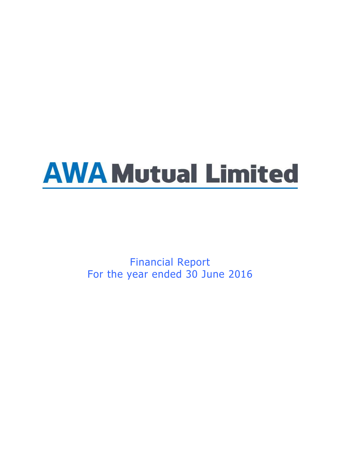# **AWA Mutual Limited**

Financial Report For the year ended 30 June 2016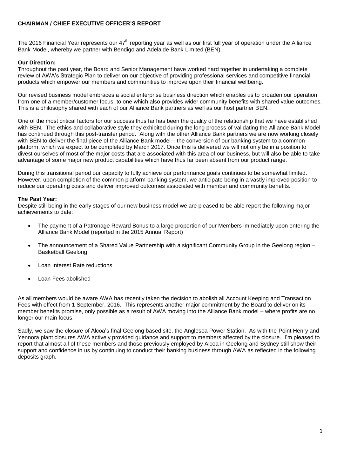# **CHAIRMAN / CHIEF EXECUTIVE OFFICER'S REPORT**

The 2016 Financial Year represents our  $47<sup>th</sup>$  reporting year as well as our first full year of operation under the Alliance Bank Model, whereby we partner with Bendigo and Adelaide Bank Limited (BEN).

# **Our Direction:**

Throughout the past year, the Board and Senior Management have worked hard together in undertaking a complete review of AWA's Strategic Plan to deliver on our objective of providing professional services and competitive financial products which empower our members and communities to improve upon their financial wellbeing.

Our revised business model embraces a social enterprise business direction which enables us to broaden our operation from one of a member/customer focus, to one which also provides wider community benefits with shared value outcomes. This is a philosophy shared with each of our Alliance Bank partners as well as our host partner BEN.

One of the most critical factors for our success thus far has been the quality of the relationship that we have established with BEN. The ethics and collaborative style they exhibited during the long process of validating the Alliance Bank Model has continued through this post-transfer period. Along with the other Alliance Bank partners we are now working closely with BEN to deliver the final piece of the Alliance Bank model – the conversion of our banking system to a common platform, which we expect to be completed by March 2017. Once this is delivered we will not only be in a position to divest ourselves of most of the major costs that are associated with this area of our business, but will also be able to take advantage of some major new product capabilities which have thus far been absent from our product range.

During this transitional period our capacity to fully achieve our performance goals continues to be somewhat limited. However, upon completion of the common platform banking system, we anticipate being in a vastly improved position to reduce our operating costs and deliver improved outcomes associated with member and community benefits.

# **The Past Year:**

Despite still being in the early stages of our new business model we are pleased to be able report the following major achievements to date:

- The payment of a Patronage Reward Bonus to a large proportion of our Members immediately upon entering the Alliance Bank Model (reported in the 2015 Annual Report)
- The announcement of a Shared Value Partnership with a significant Community Group in the Geelong region Basketball Geelong
- Loan Interest Rate reductions
- Loan Fees abolished

As all members would be aware AWA has recently taken the decision to abolish all Account Keeping and Transaction Fees with effect from 1 September, 2016. This represents another major commitment by the Board to deliver on its member benefits promise, only possible as a result of AWA moving into the Alliance Bank model – where profits are no longer our main focus.

Sadly, we saw the closure of Alcoa's final Geelong based site, the Anglesea Power Station. As with the Point Henry and Yennora plant closures AWA actively provided guidance and support to members affected by the closure. I'm pleased to report that almost all of these members and those previously employed by Alcoa in Geelong and Sydney still show their support and confidence in us by continuing to conduct their banking business through AWA as reflected in the following deposits graph.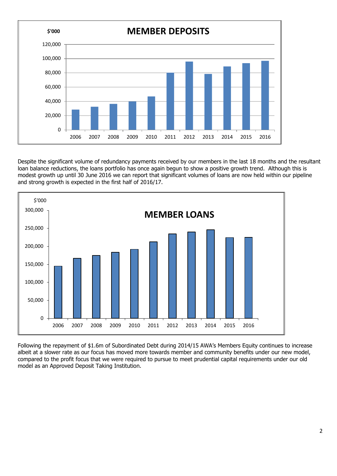

Despite the significant volume of redundancy payments received by our members in the last 18 months and the resultant loan balance reductions, the loans portfolio has once again begun to show a positive growth trend. Although this is modest growth up until 30 June 2016 we can report that significant volumes of loans are now held within our pipeline and strong growth is expected in the first half of 2016/17.



Following the repayment of \$1.6m of Subordinated Debt during 2014/15 AWA's Members Equity continues to increase albeit at a slower rate as our focus has moved more towards member and community benefits under our new model, compared to the profit focus that we were required to pursue to meet prudential capital requirements under our old model as an Approved Deposit Taking Institution.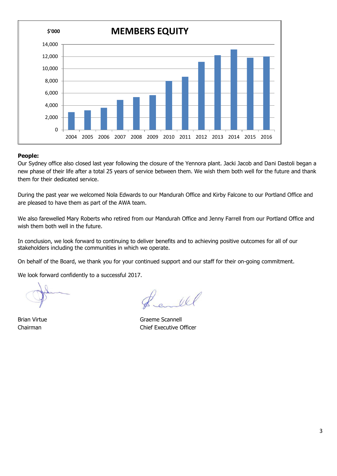

## **People:**

Our Sydney office also closed last year following the closure of the Yennora plant. Jacki Jacob and Dani Dastoli began a new phase of their life after a total 25 years of service between them. We wish them both well for the future and thank them for their dedicated service.

During the past year we welcomed Nola Edwards to our Mandurah Office and Kirby Falcone to our Portland Office and are pleased to have them as part of the AWA team.

We also farewelled Mary Roberts who retired from our Mandurah Office and Jenny Farrell from our Portland Office and wish them both well in the future.

In conclusion, we look forward to continuing to deliver benefits and to achieving positive outcomes for all of our stakeholders including the communities in which we operate.

On behalf of the Board, we thank you for your continued support and our staff for their on-going commitment.

We look forward confidently to a successful 2017.

Wel

Brian Virtue **Graeme Scannell** Chairman Chief Executive Officer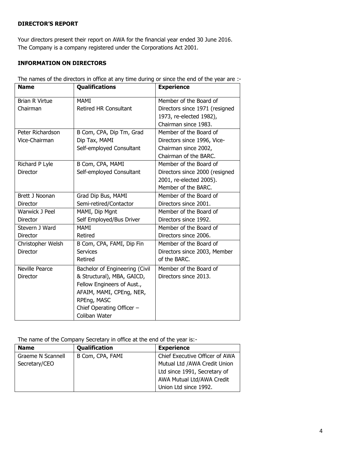# **DIRECTOR'S REPORT**

Your directors present their report on AWA for the financial year ended 30 June 2016. The Company is a company registered under the Corporations Act 2001.

# **INFORMATION ON DIRECTORS**

| <b>Name</b>           | <b>Qualifications</b>          | <b>Experience</b>              |
|-----------------------|--------------------------------|--------------------------------|
| <b>Brian R Virtue</b> | <b>MAMI</b>                    | Member of the Board of         |
| Chairman              | <b>Retired HR Consultant</b>   | Directors since 1971 (resigned |
|                       |                                | 1973, re-elected 1982),        |
|                       |                                | Chairman since 1983.           |
| Peter Richardson      | B Com, CPA, Dip Tm, Grad       | Member of the Board of         |
| Vice-Chairman         | Dip Tax, MAMI                  | Directors since 1996, Vice-    |
|                       | Self-employed Consultant       | Chairman since 2002,           |
|                       |                                | Chairman of the BARC.          |
| Richard P Lyle        | B Com, CPA, MAMI               | Member of the Board of         |
| <b>Director</b>       | Self-employed Consultant       | Directors since 2000 (resigned |
|                       |                                | 2001, re-elected 2005).        |
|                       |                                | Member of the BARC.            |
| Brett J Noonan        | Grad Dip Bus, MAMI             | Member of the Board of         |
| Director              | Semi-retired/Contactor         | Directors since 2001.          |
| Warwick J Peel        | MAMI, Dip Mgnt                 | Member of the Board of         |
| Director              | Self Employed/Bus Driver       | Directors since 1992.          |
| Stevern J Ward        | <b>MAMI</b>                    | Member of the Board of         |
| Director              | Retired                        | Directors since 2006.          |
| Christopher Welsh     | B Com, CPA, FAMI, Dip Fin      | Member of the Board of         |
| Director              | <b>Services</b>                | Directors since 2003, Member   |
|                       | Retired                        | of the BARC.                   |
| <b>Neville Pearce</b> | Bachelor of Engineering (Civil | Member of the Board of         |
| Director              | & Structural), MBA, GAICD,     | Directors since 2013.          |
|                       | Fellow Engineers of Aust.,     |                                |
|                       | AFAIM, MAMI, CPEng, NER,       |                                |
|                       | RPEng, MASC                    |                                |
|                       | Chief Operating Officer -      |                                |
|                       | Coliban Water                  |                                |

The names of the directors in office at any time during or since the end of the year are :-

The name of the Company Secretary in office at the end of the year is:-

| <b>Name</b>       | Qualification    | <b>Experience</b>              |
|-------------------|------------------|--------------------------------|
| Graeme N Scannell | B Com, CPA, FAMI | Chief Executive Officer of AWA |
| Secretary/CEO     |                  | Mutual Ltd / AWA Credit Union  |
|                   |                  | Ltd since 1991, Secretary of   |
|                   |                  | AWA Mutual Ltd/AWA Credit      |
|                   |                  | Union Ltd since 1992.          |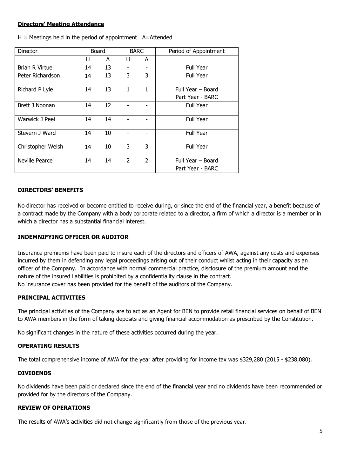# **Directors' Meeting Attendance**

| Director              |    | Board |                | <b>BARC</b>    | Period of Appointment |
|-----------------------|----|-------|----------------|----------------|-----------------------|
|                       | н  | A     | н              | A              |                       |
| <b>Brian R Virtue</b> | 14 | 13    |                |                | <b>Full Year</b>      |
| Peter Richardson      | 14 | 13    | 3              | 3              | <b>Full Year</b>      |
| Richard P Lyle        | 14 | 13    | 1              | $\mathbf{1}$   | Full Year - Board     |
|                       |    |       |                |                | Part Year - BARC      |
| Brett J Noonan        | 14 | 12    |                |                | <b>Full Year</b>      |
| Warwick J Peel        | 14 | 14    |                |                | <b>Full Year</b>      |
| Stevern J Ward        | 14 | 10    |                |                | <b>Full Year</b>      |
| Christopher Welsh     | 14 | 10    | 3              | 3              | <b>Full Year</b>      |
| <b>Neville Pearce</b> | 14 | 14    | $\overline{2}$ | $\overline{2}$ | Full Year - Board     |
|                       |    |       |                |                | Part Year - BARC      |

 $H =$  Meetings held in the period of appointment  $A=$ Attended

# **DIRECTORS' BENEFITS**

No director has received or become entitled to receive during, or since the end of the financial year, a benefit because of a contract made by the Company with a body corporate related to a director, a firm of which a director is a member or in which a director has a substantial financial interest.

## **INDEMNIFYING OFFICER OR AUDITOR**

Insurance premiums have been paid to insure each of the directors and officers of AWA, against any costs and expenses incurred by them in defending any legal proceedings arising out of their conduct whilst acting in their capacity as an officer of the Company. In accordance with normal commercial practice, disclosure of the premium amount and the nature of the insured liabilities is prohibited by a confidentiality clause in the contract. No insurance cover has been provided for the benefit of the auditors of the Company.

### **PRINCIPAL ACTIVITIES**

The principal activities of the Company are to act as an Agent for BEN to provide retail financial services on behalf of BEN to AWA members in the form of taking deposits and giving financial accommodation as prescribed by the Constitution.

No significant changes in the nature of these activities occurred during the year.

### **OPERATING RESULTS**

The total comprehensive income of AWA for the year after providing for income tax was \$329,280 (2015 - \$238,080).

### **DIVIDENDS**

No dividends have been paid or declared since the end of the financial year and no dividends have been recommended or provided for by the directors of the Company.

# **REVIEW OF OPERATIONS**

The results of AWA's activities did not change significantly from those of the previous year.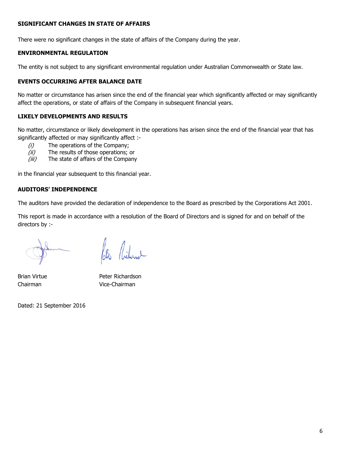# **SIGNIFICANT CHANGES IN STATE OF AFFAIRS**

There were no significant changes in the state of affairs of the Company during the year.

# **ENVIRONMENTAL REGULATION**

The entity is not subject to any significant environmental regulation under Australian Commonwealth or State law.

# **EVENTS OCCURRING AFTER BALANCE DATE**

No matter or circumstance has arisen since the end of the financial year which significantly affected or may significantly affect the operations, or state of affairs of the Company in subsequent financial years.

# **LIKELY DEVELOPMENTS AND RESULTS**

No matter, circumstance or likely development in the operations has arisen since the end of the financial year that has significantly affected or may significantly affect :-

- (i) The operations of the Company;
- (ii) The results of those operations; or
- (iii) The state of affairs of the Company

in the financial year subsequent to this financial year.

# **AUDITORS' INDEPENDENCE**

The auditors have provided the declaration of independence to the Board as prescribed by the Corporations Act 2001.

This report is made in accordance with a resolution of the Board of Directors and is signed for and on behalf of the directors by :-

Brian Virtue **Peter Richardson** Chairman Vice-Chairman

Dated: 21 September 2016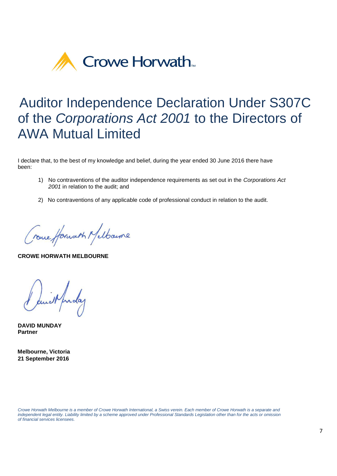

# Auditor Independence Declaration Under S307C of the *Corporations Act 2001* to the Directors of AWA Mutual Limited

I declare that, to the best of my knowledge and belief, during the year ended 30 June 2016 there have been:

- 1) No contraventions of the auditor independence requirements as set out in the *Corporations Act 2001* in relation to the audit; and
- 2) No contraventions of any applicable code of professional conduct in relation to the audit.

Creme Horwarth Melbourne

**CROWE HORWATH MELBOURNE** 

and prolag

**DAVID MUNDAY Partner** 

 **Melbourne, Victoria 21 September 2016**

*Crowe Horwath Melbourne is a member of Crowe Horwath International, a Swiss verein. Each member of Crowe Horwath is a separate and independent legal entity. Liability limited by a scheme approved under Professional Standards Legislation other than for the acts or omission of financial services licensees.*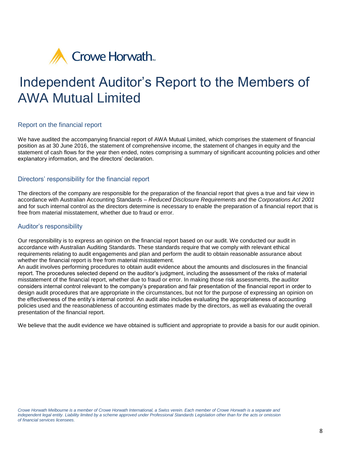

# Independent Auditor's Report to the Members of AWA Mutual Limited

# Report on the financial report

We have audited the accompanying financial report of AWA Mutual Limited, which comprises the statement of financial position as at 30 June 2016, the statement of comprehensive income, the statement of changes in equity and the statement of cash flows for the year then ended, notes comprising a summary of significant accounting policies and other explanatory information, and the directors' declaration.

# Directors' responsibility for the financial report

The directors of the company are responsible for the preparation of the financial report that gives a true and fair view in accordance with Australian Accounting Standards – *Reduced Disclosure Requirements* and the *Corporations Act 2001*  and for such internal control as the directors determine is necessary to enable the preparation of a financial report that is free from material misstatement, whether due to fraud or error.

# Auditor's responsibility

Our responsibility is to express an opinion on the financial report based on our audit. We conducted our audit in accordance with Australian Auditing Standards. These standards require that we comply with relevant ethical requirements relating to audit engagements and plan and perform the audit to obtain reasonable assurance about whether the financial report is free from material misstatement.

An audit involves performing procedures to obtain audit evidence about the amounts and disclosures in the financial report. The procedures selected depend on the auditor's judgment, including the assessment of the risks of material misstatement of the financial report, whether due to fraud or error. In making those risk assessments, the auditor considers internal control relevant to the company's preparation and fair presentation of the financial report in order to design audit procedures that are appropriate in the circumstances, but not for the purpose of expressing an opinion on the effectiveness of the entity's internal control. An audit also includes evaluating the appropriateness of accounting policies used and the reasonableness of accounting estimates made by the directors, as well as evaluating the overall presentation of the financial report.

We believe that the audit evidence we have obtained is sufficient and appropriate to provide a basis for our audit opinion.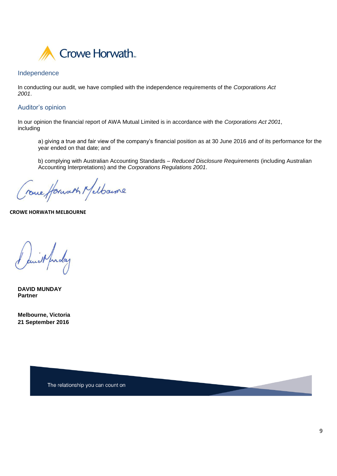

# Independence

In conducting our audit, we have complied with the independence requirements of the *Corporations Act 2001*.

# Auditor's opinion

In our opinion the financial report of AWA Mutual Limited is in accordance with the *Corporations Act 2001*, including

a) giving a true and fair view of the company's financial position as at 30 June 2016 and of its performance for the year ended on that date; and

b) complying with Australian Accounting Standards – *Reduced Disclosure Requirements* (including Australian Accounting Interpretations) and the *Corporations Regulations 2001*.

reme forwart Melbourne

**CROWE HORWATH MELBOURNE**

unil funday

**DAVID MUNDAY Partner** 

**Melbourne, Victoria 21 September 2016**

The relationship you can count on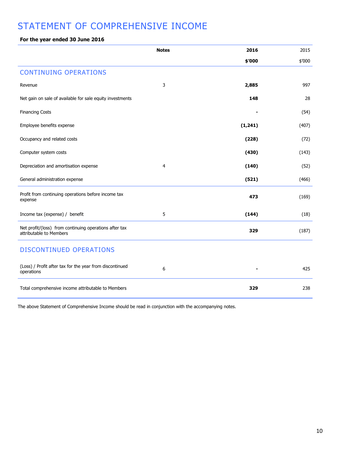# STATEMENT OF COMPREHENSIVE INCOME

# **For the year ended 30 June 2016**

|                                                                                   | <b>Notes</b> | 2016     | 2015   |
|-----------------------------------------------------------------------------------|--------------|----------|--------|
|                                                                                   |              | \$'000   | \$'000 |
| <b>CONTINUING OPERATIONS</b>                                                      |              |          |        |
| Revenue                                                                           | 3            | 2,885    | 997    |
| Net gain on sale of available for sale equity investments                         |              | 148      | 28     |
| <b>Financing Costs</b>                                                            |              |          | (54)   |
| Employee benefits expense                                                         |              | (1, 241) | (407)  |
| Occupancy and related costs                                                       |              | (228)    | (72)   |
| Computer system costs                                                             |              | (430)    | (143)  |
| Depreciation and amortisation expense                                             | 4            | (140)    | (52)   |
| General administration expense                                                    |              | (521)    | (466)  |
| Profit from continuing operations before income tax<br>expense                    |              | 473      | (169)  |
| Income tax (expense) / benefit                                                    | 5            | (144)    | (18)   |
| Net profit/(loss) from continuing operations after tax<br>attributable to Members |              | 329      | (187)  |
| DISCONTINUED OPERATIONS                                                           |              |          |        |
| (Loss) / Profit after tax for the year from discontinued<br>operations            | 6            |          | 425    |
| Total comprehensive income attributable to Members                                |              | 329      | 238    |

The above Statement of Comprehensive Income should be read in conjunction with the accompanying notes.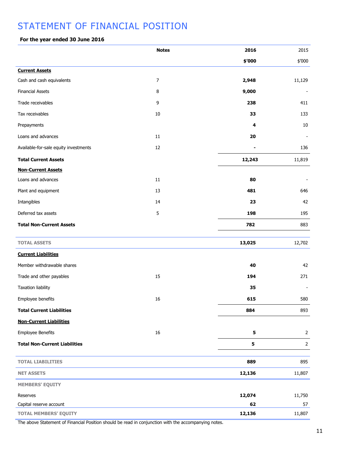# STATEMENT OF FINANCIAL POSITION

# **For the year ended 30 June 2016**

|                                       | <b>Notes</b>   | 2016   | 2015           |
|---------------------------------------|----------------|--------|----------------|
|                                       |                | \$'000 | \$'000         |
| <b>Current Assets</b>                 |                |        |                |
| Cash and cash equivalents             | $\overline{7}$ | 2,948  | 11,129         |
| <b>Financial Assets</b>               | 8              | 9,000  |                |
| Trade receivables                     | 9              | 238    | 411            |
| Tax receivables                       | $10\,$         | 33     | 133            |
| Prepayments                           |                | 4      | $10\,$         |
| Loans and advances                    | $11\,$         | 20     |                |
| Available-for-sale equity investments | 12             |        | 136            |
| <b>Total Current Assets</b>           |                | 12,243 | 11,819         |
| <b>Non-Current Assets</b>             |                |        |                |
| Loans and advances                    | $11\,$         | 80     |                |
| Plant and equipment                   | 13             | 481    | 646            |
| Intangibles                           | 14             | 23     | 42             |
| Deferred tax assets                   | 5              | 198    | 195            |
| <b>Total Non-Current Assets</b>       |                | 782    | 883            |
| <b>TOTAL ASSETS</b>                   |                | 13,025 | 12,702         |
| <b>Current Liabilities</b>            |                |        |                |
| Member withdrawable shares            |                | 40     | 42             |
| Trade and other payables              | 15             | 194    | 271            |
| <b>Taxation liability</b>             |                | 35     |                |
| Employee benefits                     | $16\,$         | 615    | 580            |
| <b>Total Current Liabilities</b>      |                | 884    | 893            |
| <b>Non-Current Liabilities</b>        |                |        |                |
| <b>Employee Benefits</b>              | $16\,$         | 5      | $\overline{2}$ |
| <b>Total Non-Current Liabilities</b>  |                | 5      | $\overline{2}$ |
| <b>TOTAL LIABILITIES</b>              |                | 889    | 895            |
| <b>NET ASSETS</b>                     |                | 12,136 | 11,807         |
| <b>MEMBERS' EQUITY</b>                |                |        |                |
| Reserves                              |                | 12,074 | 11,750         |
| Capital reserve account               |                | 62     | 57             |
| <b>TOTAL MEMBERS' EQUITY</b>          |                | 12,136 | 11,807         |

The above Statement of Financial Position should be read in conjunction with the accompanying notes.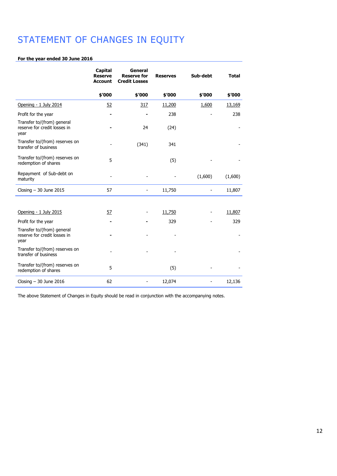# STATEMENT OF CHANGES IN EQUITY

### **For the year ended 30 June 2016**

|                                                                    | Capital<br><b>Reserve</b><br><b>Account</b> | General<br><b>Reserve for</b><br><b>Credit Losses</b> | <b>Reserves</b> | Sub-debt | <b>Total</b>  |
|--------------------------------------------------------------------|---------------------------------------------|-------------------------------------------------------|-----------------|----------|---------------|
|                                                                    | \$'000                                      | \$'000                                                | \$'000          | \$'000   | \$'000        |
| Opening - 1 July 2014                                              | 52                                          | 317                                                   | 11,200          | 1,600    | <u>13,169</u> |
| Profit for the year                                                |                                             |                                                       | 238             |          | 238           |
| Transfer to/(from) general<br>reserve for credit losses in<br>year |                                             | 24                                                    | (24)            |          |               |
| Transfer to/(from) reserves on<br>transfer of business             |                                             | (341)                                                 | 341             |          |               |
| Transfer to/(from) reserves on<br>redemption of shares             | 5                                           |                                                       | (5)             |          |               |
| Repayment of Sub-debt on<br>maturity                               |                                             |                                                       |                 | (1,600)  | (1,600)       |
| Closing $-30$ June 2015                                            | 57                                          | -                                                     | 11,750          |          | 11,807        |
|                                                                    |                                             |                                                       |                 |          |               |
| Opening - 1 July 2015                                              | <u>57</u>                                   |                                                       | 11,750          |          | 11,807        |
| Profit for the year                                                |                                             |                                                       | 329             |          | 329           |
| Transfer to/(from) general<br>reserve for credit losses in<br>year |                                             |                                                       |                 |          |               |
| Transfer to/(from) reserves on<br>transfer of business             |                                             |                                                       |                 |          |               |
| Transfer to/(from) reserves on<br>redemption of shares             | 5                                           |                                                       | (5)             |          |               |
| Closing $-30$ June 2016                                            | 62                                          | ۰                                                     | 12,074          |          | 12,136        |

The above Statement of Changes in Equity should be read in conjunction with the accompanying notes.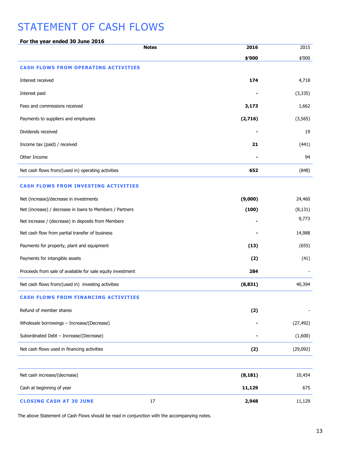# STATEMENT OF CASH FLOWS

| For the year ended 30 June 2016                            |          |           |
|------------------------------------------------------------|----------|-----------|
| <b>Notes</b>                                               | 2016     | 2015      |
|                                                            | \$'000   | \$'000    |
| <b>CASH FLOWS FROM OPERATING ACTIVITIES</b>                |          |           |
| Interest received                                          | 174      | 4,718     |
| Interest paid                                              |          | (3, 335)  |
| Fees and commissions received                              | 3,173    | 1,662     |
| Payments to suppliers and employees                        | (2,716)  | (3, 565)  |
| Dividends received                                         |          | 19        |
| Income tax (paid) / received                               | 21       | (441)     |
| Other Income                                               |          | 94        |
| Net cash flows from/(used in) operating activities         | 652      | (848)     |
| <b>CASH FLOWS FROM INVESTING ACTIVITIES</b>                |          |           |
| Net (increase)/decrease in investments                     | (9,000)  | 24,460    |
| Net (increase) / decrease in loans to Members / Partners   | (100)    | (8, 131)  |
| Net increase / (decrease) in deposits from Members         |          | 9,773     |
| Net cash flow from partial transfer of business            |          | 14,988    |
| Payments for property, plant and equipment                 | (13)     | (655)     |
| Payments for intangible assets                             | (2)      | (41)      |
| Proceeds from sale of available for sale equity investment | 284      |           |
| Net cash flows from/(used in) investing activities         | (8, 831) | 40,394    |
| <b>CASH FLOWS FROM FINANCING ACTIVITIES</b>                |          |           |
| Refund of member shares                                    | (2)      |           |
| Wholesale borrowings - Increase/(Decrease)                 |          | (27, 492) |
| Subordinated Debt - Increase/(Decrease)                    |          | (1,600)   |
| Net cash flows used in financing activities                | (2)      | (29,092)  |
|                                                            |          |           |
| Net cash increase/(decrease)                               | (8, 181) | 10,454    |
| Cash at beginning of year                                  | 11,129   | 675       |
| 17<br><b>CLOSING CASH AT 30 JUNE</b>                       | 2,948    | 11,129    |

The above Statement of Cash Flows should be read in conjunction with the accompanying notes.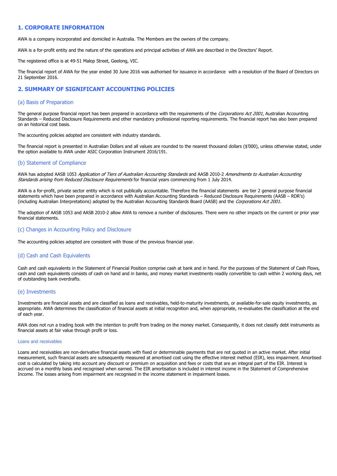## **1. CORPORATE INFORMATION**

AWA is a company incorporated and domiciled in Australia. The Members are the owners of the company.

AWA is a for-profit entity and the nature of the operations and principal activities of AWA are described in the Directors' Report.

The registered office is at 49-51 Malop Street, Geelong, VIC.

The financial report of AWA for the year ended 30 June 2016 was authorised for issuance in accordance with a resolution of the Board of Directors on 21 September 2016.

### **2. SUMMARY OF SIGNIFICANT ACCOUNTING POLICIES**

#### (a) Basis of Preparation

The general purpose financial report has been prepared in accordance with the requirements of the Corporations Act 2001, Australian Accounting Standards – Reduced Disclosure Requirements and other mandatory professional reporting requirements. The financial report has also been prepared on an historical cost basis.

The accounting policies adopted are consistent with industry standards.

The financial report is presented in Australian Dollars and all values are rounded to the nearest thousand dollars (\$'000), unless otherwise stated, under the option available to AWA under ASIC Corporation Instrument 2016/191.

#### (b) Statement of Compliance

AWA has adopted AASB 1053 Application of Tiers of Australian Accounting Standards and AASB 2010-2 Amendments to Australian Accounting Standards arising from Reduced Disclosure Requirements for financial years commencing from 1 July 2014.

AWA is a for-profit, private sector entity which is not publically accountable. Therefore the financial statements are tier 2 general purpose financial statements which have been prepared in accordance with Australian Accounting Standards – Reduced Disclosure Requirements (AASB – RDR's) (including Australian Interpretations) adopted by the Australian Accounting Standards Board (AASB) and the Corporations Act 2001.

The adoption of AASB 1053 and AASB 2010-2 allow AWA to remove a number of disclosures. There were no other impacts on the current or prior year financial statements.

#### (c) Changes in Accounting Policy and Disclosure

The accounting policies adopted are consistent with those of the previous financial year.

#### (d) Cash and Cash Equivalents

Cash and cash equivalents in the Statement of Financial Position comprise cash at bank and in hand. For the purposes of the Statement of Cash Flows, cash and cash equivalents consists of cash on hand and in banks, and money market investments readily convertible to cash within 2 working days, net of outstanding bank overdrafts.

### (e) Investments

Investments are financial assets and are classified as loans and receivables, held-to-maturity investments, or available-for-sale equity investments, as appropriate. AWA determines the classification of financial assets at initial recognition and, when appropriate, re-evaluates the classification at the end of each year.

AWA does not run a trading book with the intention to profit from trading on the money market. Consequently, it does not classify debt instruments as financial assets at fair value through profit or loss.

#### Loans and receivables

Loans and receivables are non-derivative financial assets with fixed or determinable payments that are not quoted in an active market. After initial measurement, such financial assets are subsequently measured at amortised cost using the effective interest method (EIR), less impairment. Amortised cost is calculated by taking into account any discount or premium on acquisition and fees or costs that are an integral part of the EIR. Interest is accrued on a monthly basis and recognised when earned. The EIR amortisation is included in interest income in the Statement of Comprehensive Income. The losses arising from impairment are recognised in the income statement in impairment losses.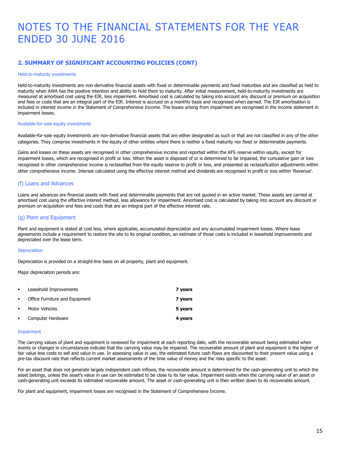# **2. SUMMARY OF SIGNIFICANT ACCOUNTING POLICIES (CONT)**

#### Held-to-maturity investments

Held-to-maturity investments are non-derivative financial assets with fixed or determinable payments and fixed maturities and are classified as held to maturity when AWA has the positive intention and ability to hold them to maturity. After initial measurement, held-to-maturity investments are measured at amortised cost using the EIR, less impairment. Amortised cost is calculated by taking into account any discount or premium on acquisition and fees or costs that are an integral part of the EIR. Interest is accrued on a monthly basis and recognised when earned. The EIR amortisation is included in interest income in the Statement of Comprehensive Income. The losses arising from impairment are recognised in the income statement in impairment losses.

#### Available-for-sale equity investments

Available-for-sale equity investments are non-derivative financial assets that are either designated as such or that are not classified in any of the other categories. They comprise investments in the equity of other entities where there is neither a fixed maturity nor fixed or determinable payments.

Gains and losses on these assets are recognised in other comprehensive income and reported within the AFS reserve within equity, except for impairment losses, which are recognised in profit or loss. When the asset is disposed of or is determined to be impaired, the cumulative gain or loss recognised in other comprehensive income is reclassified from the equity reserve to profit or loss, and presented as reclassification adjustments within other comprehensive income. Interest calculated using the effective interest method and dividends are recognised in profit or loss within 'Revenue'.

#### (f) Loans and Advances

Loans and advances are financial assets with fixed and determinable payments that are not quoted in an active market. These assets are carried at amortised cost using the effective interest method, less allowance for impairment. Amortised cost is calculated by taking into account any discount or premium on acquisition and fees and costs that are an integral part of the effective interest rate.

### (g) Plant and Equipment

Plant and equipment is stated at cost less, where applicable, accumulated depreciation and any accumulated impairment losses. Where lease agreements include a requirement to restore the site to its original condition, an estimate of those costs is included in leasehold improvements and depreciated over the lease term.

#### **Depreciation**

Depreciation is provided on a straight-line basis on all property, plant and equipment.

Major depreciation periods are:

| $\blacksquare$ | Leasehold Improvements         | 7 years |
|----------------|--------------------------------|---------|
| $\blacksquare$ | Office Furniture and Equipment | 7 years |
|                | Motor Vehicles                 | 5 years |
|                | Computer Hardware              | 4 years |

#### Impairment

The carrying values of plant and equipment is reviewed for impairment at each reporting date, with the recoverable amount being estimated when events or changes in circumstances indicate that the carrying value may be impaired. The recoverable amount of plant and equipment is the higher of fair value less costs to sell and value in use. In assessing value in use, the estimated future cash flows are discounted to their present value using a pre-tax discount rate that reflects current market assessments of the time value of money and the risks specific to the asset.

For an asset that does not generate largely independent cash inflows, the recoverable amount is determined for the cash-generating unit to which the asset belongs, unless the asset's value in use can be estimated to be close to its fair value. Impairment exists when the carrying value of an asset or cash-generating unit exceeds its estimated recoverable amount. The asset or cash-generating unit is then written down to its recoverable amount.

For plant and equipment, impairment losses are recognised in the Statement of Comprehensive Income.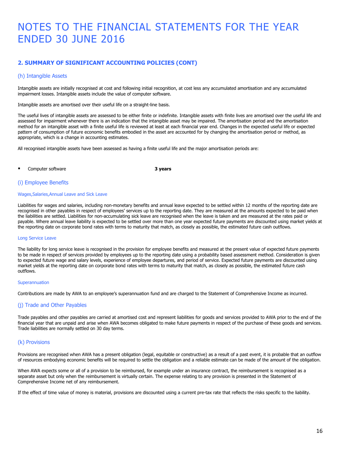# **2. SUMMARY OF SIGNIFICANT ACCOUNTING POLICIES (CONT)**

#### (h) Intangible Assets

Intangible assets are initially recognised at cost and following initial recognition, at cost less any accumulated amortisation and any accumulated impairment losses. Intangible assets include the value of computer software.

Intangible assets are amortised over their useful life on a straight-line basis.

The useful lives of intangible assets are assessed to be either finite or indefinite. Intangible assets with finite lives are amortised over the useful life and assessed for impairment whenever there is an indication that the intangible asset may be impaired. The amortisation period and the amortisation method for an intangible asset with a finite useful life is reviewed at least at each financial year end. Changes in the expected useful life or expected pattern of consumption of future economic benefits embodied in the asset are accounted for by changing the amortisation period or method, as appropriate, which is a change in accounting estimates.

All recognised intangible assets have been assessed as having a finite useful life and the major amortisation periods are:

Computer software **3 years 3 years** 

#### (i) Employee Benefits

#### Wages,Salaries,Annual Leave and Sick Leave

Liabilities for wages and salaries, including non-monetary benefits and annual leave expected to be settled within 12 months of the reporting date are recognised in other payables in respect of employees' services up to the reporting date. They are measured at the amounts expected to be paid when the liabilities are settled. Liabilities for non-accumulating sick leave are recognised when the leave is taken and are measured at the rates paid or payable. Where annual leave liability is expected to be settled over more than one year expected future payments are discounted using market yields at the reporting date on corporate bond rates with terms to maturity that match, as closely as possible, the estimated future cash outflows.

#### Long Service Leave

The liability for long service leave is recognised in the provision for employee benefits and measured at the present value of expected future payments to be made in respect of services provided by employees up to the reporting date using a probability based assessment method. Consideration is given to expected future wage and salary levels, experience of employee departures, and period of service. Expected future payments are discounted using market yields at the reporting date on corporate bond rates with terms to maturity that match, as closely as possible, the estimated future cash outflows.

#### Superannuation

Contributions are made by AWA to an employee's superannuation fund and are charged to the Statement of Comprehensive Income as incurred.

### (j) Trade and Other Payables

Trade payables and other payables are carried at amortised cost and represent liabilities for goods and services provided to AWA prior to the end of the financial year that are unpaid and arise when AWA becomes obligated to make future payments in respect of the purchase of these goods and services. Trade liabilities are normally settled on 30 day terms.

### (k) Provisions

Provisions are recognised when AWA has a present obligation (legal, equitable or constructive) as a result of a past event, it is probable that an outflow of resources embodying economic benefits will be required to settle the obligation and a reliable estimate can be made of the amount of the obligation.

When AWA expects some or all of a provision to be reimbursed, for example under an insurance contract, the reimbursement is recognised as a separate asset but only when the reimbursement is virtually certain. The expense relating to any provision is presented in the Statement of Comprehensive Income net of any reimbursement.

If the effect of time value of money is material, provisions are discounted using a current pre-tax rate that reflects the risks specific to the liability.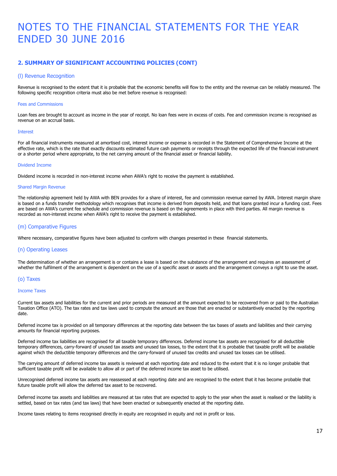# **2. SUMMARY OF SIGNIFICANT ACCOUNTING POLICIES (CONT)**

#### (l) Revenue Recognition

Revenue is recognised to the extent that it is probable that the economic benefits will flow to the entity and the revenue can be reliably measured. The following specific recognition criteria must also be met before revenue is recognised:

#### Fees and Commissions

Loan fees are brought to account as income in the year of receipt. No loan fees were in excess of costs. Fee and commission income is recognised as revenue on an accrual basis.

#### Interest

For all financial instruments measured at amortised cost, interest income or expense is recorded in the Statement of Comprehensive Income at the effective rate, which is the rate that exactly discounts estimated future cash payments or receipts through the expected life of the financial instrument or a shorter period where appropriate, to the net carrying amount of the financial asset or financial liability.

#### Dividend Income

Dividend income is recorded in non-interest income when AWA's right to receive the payment is established.

#### Shared Margin Revenue

The relationship agreement held by AWA with BEN provides for a share of interest, fee and commission revenue earned by AWA. Interest margin share is based on a funds transfer methodology which recognises that income is derived from deposits held, and that loans granted incur a funding cost. Fees are based on AWA's current fee schedule and commission revenue is based on the agreements in place with third parties. All margin revenue is recorded as non-interest income when AWA's right to receive the payment is established.

#### (m) Comparative Figures

Where necessary, comparative figures have been adjusted to conform with changes presented in these financial statements.

#### (n) Operating Leases

The determination of whether an arrangement is or contains a lease is based on the substance of the arrangement and requires an assessment of whether the fulfilment of the arrangement is dependent on the use of a specific asset or assets and the arrangement conveys a right to use the asset.

#### (o) Taxes

#### Income Taxes

Current tax assets and liabilities for the current and prior periods are measured at the amount expected to be recovered from or paid to the Australian Taxation Office (ATO). The tax rates and tax laws used to compute the amount are those that are enacted or substantively enacted by the reporting date.

Deferred income tax is provided on all temporary differences at the reporting date between the tax bases of assets and liabilities and their carrying amounts for financial reporting purposes.

Deferred income tax liabilities are recognised for all taxable temporary differences. Deferred income tax assets are recognised for all deductible temporary differences, carry-forward of unused tax assets and unused tax losses, to the extent that it is probable that taxable profit will be available against which the deductible temporary differences and the carry-forward of unused tax credits and unused tax losses can be utilised.

The carrying amount of deferred income tax assets is reviewed at each reporting date and reduced to the extent that it is no longer probable that sufficient taxable profit will be available to allow all or part of the deferred income tax asset to be utilised.

Unrecognised deferred income tax assets are reassessed at each reporting date and are recognised to the extent that it has become probable that future taxable profit will allow the deferred tax asset to be recovered.

Deferred income tax assets and liabilities are measured at tax rates that are expected to apply to the year when the asset is realised or the liability is settled, based on tax rates (and tax laws) that have been enacted or subsequently enacted at the reporting date.

Income taxes relating to items recognised directly in equity are recognised in equity and not in profit or loss.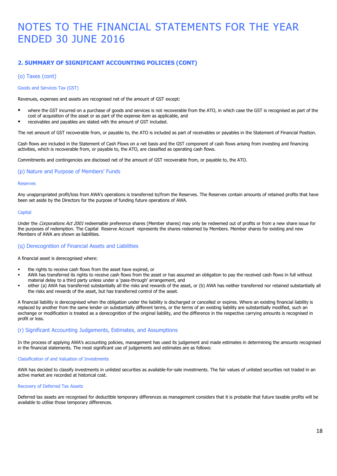# **2. SUMMARY OF SIGNIFICANT ACCOUNTING POLICIES (CONT)**

## (o) Taxes (cont)

### Goods and Services Tax (GST)

Revenues, expenses and assets are recognised net of the amount of GST except:

- where the GST incurred on a purchase of goods and services is not recoverable from the ATO, in which case the GST is recognised as part of the cost of acquisition of the asset or as part of the expense item as applicable, and
- receivables and payables are stated with the amount of GST included.

The net amount of GST recoverable from, or payable to, the ATO is included as part of receivables or payables in the Statement of Financial Position.

Cash flows are included in the Statement of Cash Flows on a net basis and the GST component of cash flows arising from investing and financing activities, which is recoverable from, or payable to, the ATO, are classified as operating cash flows.

Commitments and contingencies are disclosed net of the amount of GST recoverable from, or payable to, the ATO.

#### (p) Nature and Purpose of Members' Funds

#### Reserves

Any unappropriated profit/loss from AWA's operations is transferred to/from the Reserves. The Reserves contain amounts of retained profits that have been set aside by the Directors for the purpose of funding future operations of AWA.

#### **Capital**

Under the Corporations Act 2001 redeemable preference shares (Member shares) may only be redeemed out of profits or from a new share issue for the purposes of redemption. The Capital Reserve Account represents the shares redeemed by Members. Member shares for existing and new Members of AWA are shown as liabilities.

#### (q) Derecognition of Financial Assets and Liabilities

A financial asset is derecognised where:

- the rights to receive cash flows from the asset have expired, or
- AWA has transferred its rights to receive cash flows from the asset or has assumed an obligation to pay the received cash flows in full without material delay to a third party unless under a 'pass-through' arrangement, and
- either (a) AWA has transferred substantially all the risks and rewards of the asset, or (b) AWA has neither transferred nor retained substantially all the risks and rewards of the asset, but has transferred control of the asset.

A financial liability is derecognised when the obligation under the liability is discharged or cancelled or expires. Where an existing financial liability is replaced by another from the same lender on substantially different terms, or the terms of an existing liability are substantially modified, such an exchange or modification is treated as a derecognition of the original liability, and the difference in the respective carrying amounts is recognised in profit or loss.

### (r) Significant Accounting Judgements, Estimates, and Assumptions

In the process of applying AWA's accounting policies, management has used its judgement and made estimates in determining the amounts recognised in the financial statements. The most significant use of judgements and estimates are as follows:

#### Classification of and Valuation of Investments

AWA has decided to classify investments in unlisted securities as available-for-sale investments. The fair values of unlisted securities not traded in an active market are recorded at historical cost.

#### Recovery of Deferred Tax Assets

Deferred tax assets are recognised for deductible temporary differences as management considers that it is probable that future taxable profits will be available to utilise those temporary differences.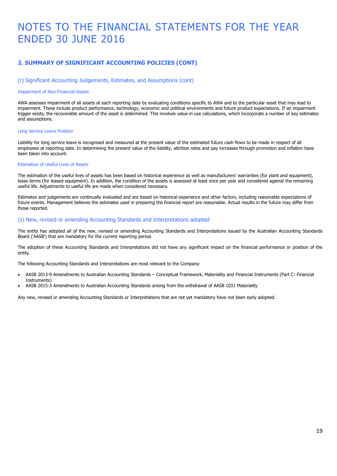# **2. SUMMARY OF SIGNIFICANT ACCOUNTING POLICIES (CONT)**

#### (r) Significant Accounting Judgements, Estimates, and Assumptions (cont)

#### Impairment of Non-Financial Assets

AWA assesses impairment of all assets at each reporting date by evaluating conditions specific to AWA and to the particular asset that may lead to impairment. These include product performance, technology, economic and political environments and future product expectations. If an impairment trigger exists, the recoverable amount of the asset is determined. This involves value in use calculations, which incorporate a number of key estimates and assumptions.

#### Long Service Leave Position

Liability for long service leave is recognised and measured at the present value of the estimated future cash flows to be made in respect of all employees at reporting date. In determining the present value of the liability, attrition rates and pay increases through promotion and inflation have been taken into account.

#### Estimation of Useful Lives of Assets

The estimation of the useful lives of assets has been based on historical experience as well as manufacturers' warranties (for plant and equipment), lease terms (for leased equipment). In addition, the condition of the assets is assessed at least once per year and considered against the remaining useful life. Adjustments to useful life are made when considered necessary.

Estimates and judgements are continually evaluated and are based on historical experience and other factors, including reasonable expectations of future events. Management believes the estimates used in preparing the financial report are reasonable. Actual results in the future may differ from those reported.

#### (s) New, revised or amending Accounting Standards and Interpretations adopted

The entity has adopted all of the new, revised or amending Accounting Standards and Interpretations issued by the Australian Accounting Standards Board ('AASB') that are mandatory for the current reporting period.

The adoption of these Accounting Standards and Interpretations did not have any significant impact on the financial performance or position of the entity.

The following Accounting Standards and Interpretations are most relevant to the Company:

- AASB 2013-9 Amendments to Australian Accounting Standards Conceptual Framework, Materiality and Financial Instruments (Part C: Financial Instruments)
- AASB 2015-3 Amendments to Australian Accounting Standards arising from the withdrawal of AASB 1031 Materiality

Any new, revised or amending Accounting Standards or Interpretations that are not yet mandatory have not been early adopted.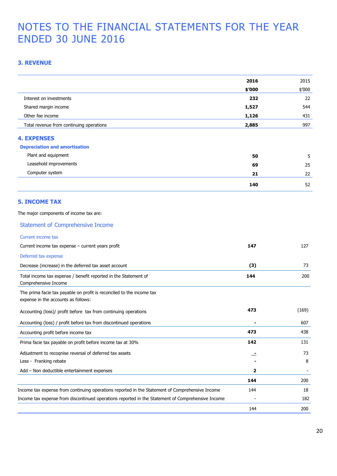# **3. REVENUE**

|                                                                                                              | 2016   | 2015   |
|--------------------------------------------------------------------------------------------------------------|--------|--------|
|                                                                                                              | \$'000 | \$′000 |
| Interest on investments                                                                                      | 232    | 22     |
| Shared margin income                                                                                         | 1,527  | 544    |
| Other fee income                                                                                             | 1,126  | 431    |
| Total revenue from continuing operations                                                                     | 2,885  | 997    |
| <b>4. EXPENSES</b>                                                                                           |        |        |
| <b>Depreciation and amortisation</b>                                                                         |        |        |
| Plant and equipment                                                                                          | 50     | 5      |
| Leasehold improvements                                                                                       | 69     | 25     |
| Computer system                                                                                              | 21     | 22     |
|                                                                                                              | 140    | 52     |
| <b>5. INCOME TAX</b>                                                                                         |        |        |
| The major components of income tax are:                                                                      |        |        |
| <b>Statement of Comprehensive Income</b>                                                                     |        |        |
| Current income tax                                                                                           |        |        |
| Current income tax expense - current years profit                                                            | 147    | 127    |
| Deferred tax expense                                                                                         |        |        |
| Decrease (increase) in the deferred tax asset account                                                        | (3)    | 73     |
| Total income tax expense / benefit reported in the Statement of<br>Comprehensive Income                      | 144    | 200    |
| The prima facie tax payable on profit is reconciled to the income tax<br>expense in the accounts as follows: |        |        |
| Accounting (loss)/ profit before tax from continuing operations                                              | 473    | (169)  |
| Accounting (loss) / profit before tax from discontinued operations                                           |        | 607    |
| Accounting profit before income tax                                                                          | 473    | 438    |
| Prima facie tax payable on profit before income tax at 30%                                                   | 142    | 131    |
| Adjustment to recognise reversal of deferred tax assets                                                      |        | 73     |
| Less - Franking rebate                                                                                       |        | 8      |
| Add - Non deductible entertainment expenses                                                                  | 2      |        |
|                                                                                                              | 144    | 200    |
| Income tax expense from continuing operations reported in the Statement of Comprehensive Income              | 144    | 18     |
| Income tax expense from discontinued operations reported in the Statement of Comprehensive Income            |        | 182    |
|                                                                                                              | 144    | 200    |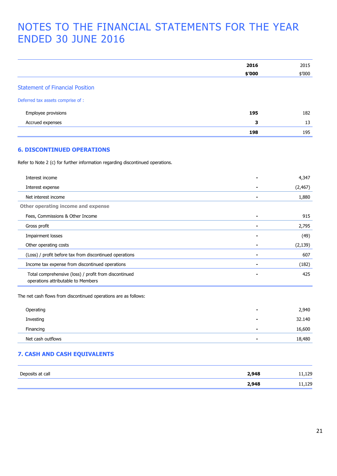|                                                                                             | 2016                         | 2015     |
|---------------------------------------------------------------------------------------------|------------------------------|----------|
|                                                                                             | \$'000                       | \$′000   |
| <b>Statement of Financial Position</b>                                                      |                              |          |
| Deferred tax assets comprise of :                                                           |                              |          |
| Employee provisions                                                                         | 195                          | 182      |
| Accrued expenses                                                                            | 3                            | 13       |
|                                                                                             | 198                          | 195      |
| <b>6. DISCONTINUED OPERATIONS</b>                                                           |                              |          |
| Refer to Note 2 (c) for further information regarding discontinued operations.              |                              |          |
| Interest income                                                                             |                              | 4,347    |
| Interest expense                                                                            |                              | (2, 467) |
| Net interest income                                                                         | $\blacksquare$               | 1,880    |
| Other operating income and expense                                                          |                              |          |
| Fees, Commissions & Other Income                                                            |                              | 915      |
| Gross profit                                                                                | $\qquad \qquad \blacksquare$ | 2,795    |
| <b>Impairment losses</b>                                                                    |                              | (49)     |
| Other operating costs                                                                       |                              | (2, 139) |
| (Loss) / profit before tax from discontinued operations                                     |                              | 607      |
| Income tax expense from discontinued operations                                             | $\blacksquare$               | (182)    |
| Total comprehensive (loss) / profit from discontinued<br>operations attributable to Members |                              | 425      |
| The net cash flows from discontinued operations are as follows:                             |                              |          |
| Operating                                                                                   |                              | 2,940    |
| Investing                                                                                   |                              | 32.140   |
| Financing                                                                                   |                              | 16,600   |
| Net cash outflows                                                                           |                              | 18,480   |

# **7. CASH AND CASH EQUIVALENTS**

| Deposits at call | 2,948 | ,129   |
|------------------|-------|--------|
|                  | 2,948 | 11,129 |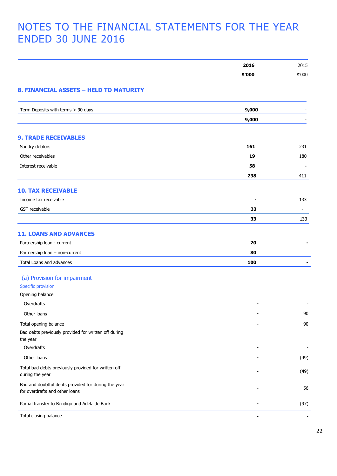|                                                                                       | 2016   | 2015                     |
|---------------------------------------------------------------------------------------|--------|--------------------------|
|                                                                                       | \$'000 | \$'000                   |
| 8. FINANCIAL ASSETS - HELD TO MATURITY                                                |        |                          |
| Term Deposits with terms > 90 days                                                    | 9,000  |                          |
|                                                                                       | 9,000  |                          |
| <b>9. TRADE RECEIVABLES</b>                                                           |        |                          |
| Sundry debtors                                                                        | 161    | 231                      |
| Other receivables                                                                     | 19     | 180                      |
| Interest receivable                                                                   | 58     | $\blacksquare$           |
|                                                                                       | 238    | 411                      |
| <b>10. TAX RECEIVABLE</b>                                                             |        |                          |
| Income tax receivable                                                                 |        | 133                      |
| GST receivable                                                                        | 33     | $\blacksquare$           |
|                                                                                       | 33     | 133                      |
| <b>11. LOANS AND ADVANCES</b>                                                         |        |                          |
| Partnership loan - current                                                            | 20     |                          |
| Partnership loan - non-current                                                        | 80     |                          |
| Total Loans and advances                                                              | 100    |                          |
| (a) Provision for impairment                                                          |        |                          |
| <b>Specific provision</b>                                                             |        |                          |
| Opening balance                                                                       |        |                          |
| Overdrafts                                                                            |        |                          |
| Other loans                                                                           | ٠      | 90                       |
| Total opening balance                                                                 |        | 90                       |
| Bad debts previously provided for written off during                                  |        |                          |
| the year                                                                              |        |                          |
| Overdrafts                                                                            |        | $\overline{\phantom{0}}$ |
| Other loans                                                                           |        | (49)                     |
| Total bad debts previously provided for written off<br>during the year                |        | (49)                     |
| Bad and doubtful debts provided for during the year<br>for overdrafts and other loans |        | 56                       |
| Partial transfer to Bendigo and Adelaide Bank                                         |        | (97)                     |
| Total closing balance                                                                 |        |                          |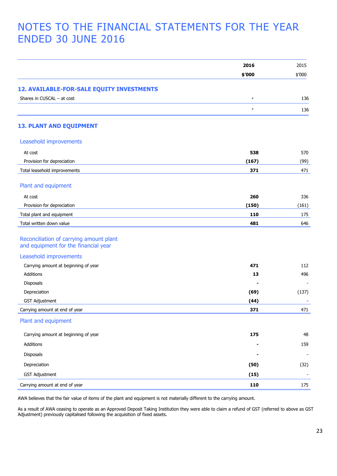|                                                                                 | 2016   | 2015   |
|---------------------------------------------------------------------------------|--------|--------|
|                                                                                 | \$'000 | \$′000 |
|                                                                                 |        |        |
| 12. AVAILABLE-FOR-SALE EQUITY INVESTMENTS<br>Shares in CUSCAL - at cost         |        |        |
|                                                                                 |        | 136    |
|                                                                                 |        | 136    |
| <b>13. PLANT AND EQUIPMENT</b>                                                  |        |        |
| Leasehold improvements                                                          |        |        |
| At cost                                                                         | 538    | 570    |
| Provision for depreciation                                                      | (167)  | (99)   |
| Total leasehold improvements                                                    | 371    | 471    |
| Plant and equipment                                                             |        |        |
| At cost                                                                         | 260    | 336    |
| Provision for depreciation                                                      | (150)  | (161)  |
| Total plant and equipment                                                       | 110    | 175    |
| Total written down value                                                        | 481    | 646    |
| Reconciliation of carrying amount plant<br>and equipment for the financial year |        |        |
| Leasehold improvements                                                          |        |        |
| Carrying amount at beginning of year                                            | 471    | 112    |
| Additions                                                                       | 13     | 496    |
| Disposals                                                                       |        |        |
| Depreciation                                                                    | (69)   | (137)  |
| <b>GST Adjustment</b>                                                           | (44)   |        |
| Carrying amount at end of year                                                  | 371    | 471    |
| Plant and equipment                                                             |        |        |
| Carrying amount at beginning of year                                            | 175    | 48     |
| Additions                                                                       |        | 159    |
| Disposals                                                                       |        |        |
| Depreciation                                                                    | (50)   | (32)   |
| <b>GST Adjustment</b>                                                           | (15)   |        |
| Carrying amount at end of year                                                  | 110    | 175    |

AWA believes that the fair value of items of the plant and equipment is not materially different to the carrying amount.

As a result of AWA ceasing to operate as an Approved Deposit Taking Institution they were able to claim a refund of GST (referred to above as GST Adjustment) previously capitalised following the acquisition of fixed assets.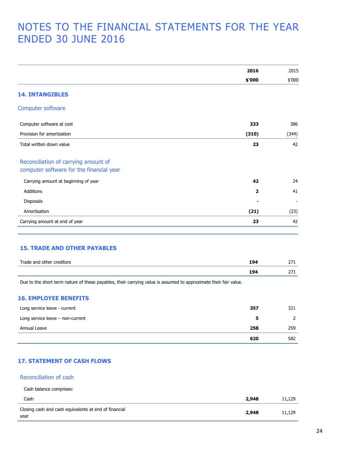|                                          | 2016           | 2015                     |
|------------------------------------------|----------------|--------------------------|
|                                          | \$'000         | \$'000                   |
| <b>14. INTANGIBLES</b>                   |                |                          |
| Computer software                        |                |                          |
| Computer software at cost                | 333            | 386                      |
| Provision for amortisation               | (310)          | (344)                    |
| Total written down value                 | 23             | 42                       |
| Reconciliation of carrying amount of     |                |                          |
| computer software for the financial year |                |                          |
| Carrying amount at beginning of year     | 42             | 24                       |
| <b>Additions</b>                         | $\overline{2}$ | 41                       |
| Disposals                                |                | $\overline{\phantom{a}}$ |
| Amortisation                             | (21)           | (23)                     |
| Carrying amount at end of year           | 23             | 42                       |

# **15. TRADE AND OTHER PAYABLES**

| Trade and other creditors | 104 | $\sim$ |
|---------------------------|-----|--------|
|                           | 194 |        |

Due to the short term nature of these payables, their carrying value is assumed to approximate their fair value.

### **16. EMPLOYEE BENEFITS**

| Long service leave - current     | 357 | 321 |
|----------------------------------|-----|-----|
| Long service leave - non-current |     |     |
| Annual Leave                     | 258 | 259 |
|                                  | 620 | 582 |

# **17. STATEMENT OF CASH FLOWS**

#### Reconciliation of cash

Cash balance comprises:

| Cash                                                          | 2.948 | 11.129 |
|---------------------------------------------------------------|-------|--------|
| Closing cash and cash equivalents at end of financial<br>year | 2,948 | 11,129 |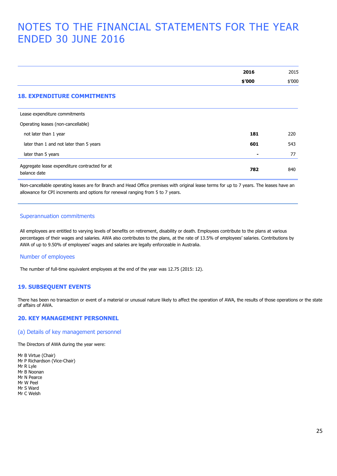|                                                               | 2016   | 2015   |
|---------------------------------------------------------------|--------|--------|
|                                                               | \$′000 | \$′000 |
| <b>18. EXPENDITURE COMMITMENTS</b>                            |        |        |
| Lease expenditure commitments                                 |        |        |
| Operating leases (non-cancellable)                            |        |        |
| not later than 1 year                                         | 181    | 220    |
| later than 1 and not later than 5 years                       | 601    | 543    |
| later than 5 years                                            |        | 77     |
| Aggregate lease expenditure contracted for at<br>balance date | 782    | 840    |

Non-cancellable operating leases are for Branch and Head Office premises with original lease terms for up to 7 years. The leases have an allowance for CPI increments and options for renewal ranging from 5 to 7 years.

#### Superannuation commitments

All employees are entitled to varying levels of benefits on retirement, disability or death. Employees contribute to the plans at various percentages of their wages and salaries. AWA also contributes to the plans, at the rate of 13.5% of employees' salaries. Contributions by AWA of up to 9.50% of employees' wages and salaries are legally enforceable in Australia.

#### Number of employees

The number of full-time equivalent employees at the end of the year was 12.75 (2015: 12).

## **19. SUBSEQUENT EVENTS**

There has been no transaction or event of a material or unusual nature likely to affect the operation of AWA, the results of those operations or the state of affairs of AWA.

# **20. KEY MANAGEMENT PERSONNEL**

#### (a) Details of key management personnel

The Directors of AWA during the year were:

Mr B Virtue (Chair) Mr P Richardson (Vice-Chair) Mr R Lyle Mr B Noonan Mr N Pearce Mr W Peel Mr S Ward Mr C Welsh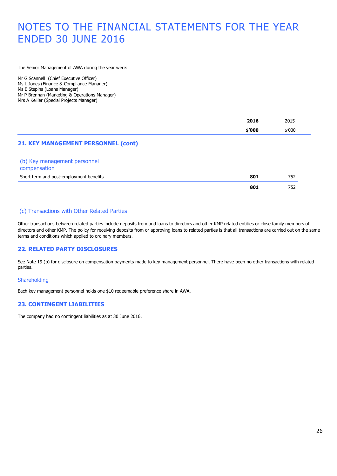The Senior Management of AWA during the year were:

Mr G Scannell (Chief Executive Officer) Ms L Jones (Finance & Compliance Manager) Ms E Stepins (Loans Manager) Mr P Brennan (Marketing & Operations Manager) Mrs A Keiller (Special Projects Manager)

| 2016   | 2015   |
|--------|--------|
| \$'000 | \$'000 |
|        |        |

# **21. KEY MANAGEMENT PERSONNEL (cont)**

(b) Key management personnel

| compensation                            |     |     |
|-----------------------------------------|-----|-----|
| Short term and post-employment benefits | 801 | 752 |
|                                         | 801 | 752 |

# (c) Transactions with Other Related Parties

Other transactions between related parties include deposits from and loans to directors and other KMP related entities or close family members of directors and other KMP. The policy for receiving deposits from or approving loans to related parties is that all transactions are carried out on the same terms and conditions which applied to ordinary members.

# **22. RELATED PARTY DISCLOSURES**

See Note 19 (b) for disclosure on compensation payments made to key management personnel. There have been no other transactions with related parties.

### Shareholding

Each key management personnel holds one \$10 redeemable preference share in AWA.

# **23. CONTINGENT LIABILITIES**

The company had no contingent liabilities as at 30 June 2016.